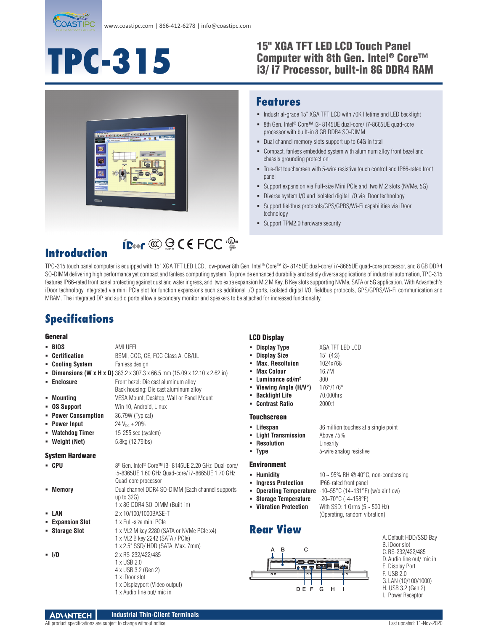

**ID** 

# **TPC-315**

#### 15" XGA TFT LED LCD Touch Panel Computer with 8th Gen. Intel® Core™ i3/ i7 Processor, built-in 8G DDR4 RAM



#### **Features**

- $\blacksquare$  Industrial-grade 15" XGA TFT LCD with 70K lifetime and LED backlight
- 8th Gen. Intel<sup>®</sup> Core<sup>™</sup> i3-8145UE dual-core/ i7-8665UE quad-core processor with built-in 8 GB DDR4 SO-DIMM
- Dual channel memory slots support up to 64G in total
- Compact, fanless embedded system with aluminum alloy front bezel and chassis grounding protection
- True-flat touchscreen with 5-wire resistive touch control and IP66-rated front panel
- Support expansion via Full-size Mini PCIe and two M.2 slots (NVMe, 5G)
- Diverse system I/O and isolated digital I/O via iDoor technology
- Support fieldbus protocols/GPS/GPRS/Wi-Fi capabilities via iDoor technology
- Support TPM2.0 hardware security

## **Introduction**

TPC-315 touch panel computer is equipped with 15" XGA TFT LED LCD, low-power 8th Gen. Intel® Core™ i3- 8145UE dual-core/ i7-8665UE quad-core processor, and 8 GB DDR4 SO-DIMM delivering high performance yet compact and fanless computing system. To provide enhanced durability and satisfy diverse applications of industrial automation, TPC-315 features IP66-rated front panel protecting against dust and water ingress, and two extra expansion M.2 M Key, B Key slots supporting NVMe, SATA or 5G application. With Advantech's iDoor technology integrated via mini PCIe slot for function expansions such as additional I/O ports, isolated digital I/O, fieldbus protocols, GPS/GPRS/Wi-Fi communication and MRAM. The integrated DP and audio ports allow a secondary monitor and speakers to be attached for increased functionality.

## **Specifications**

#### General

| - BIOS                        | AMI UEFI                                                                                                                                   | Display Type<br>٠                                                                                   | XG/                     |
|-------------------------------|--------------------------------------------------------------------------------------------------------------------------------------------|-----------------------------------------------------------------------------------------------------|-------------------------|
| <b>Certification</b>          | BSMI, CCC, CE, FCC Class A, CB/UL                                                                                                          | <b>Display Size</b>                                                                                 | 15"                     |
| <b>Cooling System</b>         | Fanless design                                                                                                                             | <b>Max. Resoltuion</b>                                                                              | 102                     |
|                               | <b>Dimensions (W x H x D)</b> 383.2 x 307.3 x 66.5 mm (15.09 x 12.10 x 2.62 in)                                                            | <b>Max Colour</b><br>٠                                                                              | 16.7                    |
| Enclosure<br>Mounting         | Front bezel: Die cast aluminum alloy<br>Back housing: Die cast aluminum alloy<br>VESA Mount, Desktop, Wall or Panel Mount                  | Luminance $cd/m2$<br>Viewing Angle (H/V°)<br><b>Backlight Life</b><br>٠                             | 300<br>176<br>70(       |
| <b>OS Support</b>             | Win 10, Android, Linux                                                                                                                     | <b>Contrast Ratio</b>                                                                               | 200                     |
| <b>Power Consumption</b><br>٠ | 36.79W (Typical)                                                                                                                           |                                                                                                     |                         |
| • Power Input                 | $24 V_{nc} \pm 20%$                                                                                                                        | <b>Touchscreen</b>                                                                                  |                         |
| • Watchdog Timer              | 15-255 sec (system)                                                                                                                        | Lifespan                                                                                            | 36r                     |
| • Weight (Net)                | 5.8kg (12.79lbs)                                                                                                                           | <b>Light Transmission</b><br><b>Resolution</b>                                                      | Abo<br>Line<br>$5-w$    |
| <b>System Hardware</b>        |                                                                                                                                            | - Type                                                                                              |                         |
| - CPU                         | 8th Gen. Intel <sup>®</sup> Core™ i3-8145UE 2.20 GHz Dual-core/<br>i5-8365UE 1.60 GHz Quad-core/ i7-8665UE 1.70 GHz<br>Quad-core processor | <b>Environment</b><br>• Humidity<br><b>Ingress Protection</b>                                       | $10 -$<br>IP60          |
| Memory                        | Dual channel DDR4 SO-DIMM (Each channel supports<br>up to $32G$ )<br>1 x 8G DDR4 SO-DIMM (Built-in)                                        | <b>Operating Temperature</b><br><b>Storage Temperature</b><br>٠<br><b>Vibration Protection</b><br>٠ | $-10$<br>$-20-$<br>With |
| LAN                           | 2 x 10/100/1000BASE-T                                                                                                                      |                                                                                                     | (0p)                    |
| • Expansion Slot              | 1 x Full-size mini PCIe                                                                                                                    |                                                                                                     |                         |
| <b>Storage Slot</b>           | 1 x M.2 M key 2280 (SATA or NVMe PCIe x4)<br>1 x M.2 B key 2242 (SATA / PCle)<br>1 x 2.5" SSD/ HDD (SATA, Max. 7mm)                        | <b>Rear View</b>                                                                                    |                         |
| $-1/0$                        | 2 x RS-232/422/485<br>1 x USB 2.0<br>4 x USB 3.2 (Gen 2)<br>1 x iDoor slot<br>1 x Displayport (Video output)<br>1 x Audio line out/ mic in | C<br>B<br>А<br>dama dama<br>००<br>न :<br>DE F                                                       | G                       |

#### LCD Display

- **Display Type** XGA TFT LED LCD
	- **Display Size** 15'' (4:3)

**Max Colour** 16.7M

- **on** 1024x768
- 
- 
- **Viewing Angle (H/V°)** 176°/176°
- **Backlight Life** 70,000hrs
- **Contrast Ratio** 2000:1
- 
- 
- 
- 
- **Ingress IP66-rated front panel**
- 
- 
- 

## **Rear View**



| A. Default HDD/SSD Bav    |
|---------------------------|
| B. iDoor slot             |
| C.RS-232/422/485          |
| D. Audio line out/ mic in |
| E. Display Port           |
| F. USB 2.0                |
| G. LAN (10/100/1000)      |
| H. USB 3.2 (Gen 2)        |

I. Power Receptor

 **Lifespan** 36 million touches at a single point **Light Transmission** Above 75% **Linearity 5-wire analog resistive** 

(Operating, random vibration)

**Humidity** 10 ~ 95% RH @ 40°C, non-condensing

- **perature** -10~55°C (14~131°F) (w/o air flow)
- **Storage Temperature** -20~70°C (-4~158°F) **Potion** With SSD: 1 Grms  $(5 - 500$  Hz)